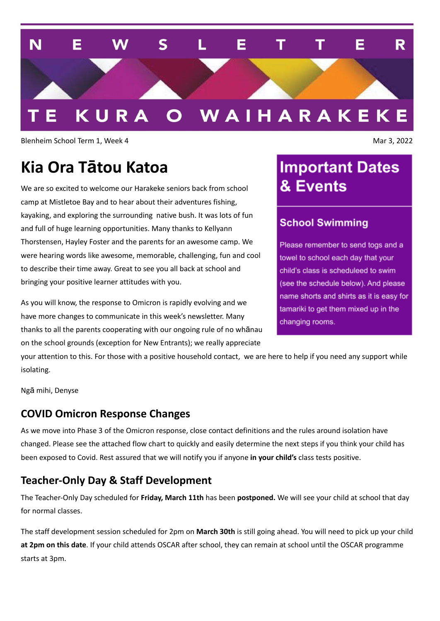

Blenheim School Term 1, Week 4 Mar 3, 2022

# **Kia Ora Tātou Katoa**

We are so excited to welcome our Harakeke seniors back from school camp at Mistletoe Bay and to hear about their adventures fishing, kayaking, and exploring the surrounding native bush. It was lots of fun and full of huge learning opportunities. Many thanks to Kellyann Thorstensen, Hayley Foster and the parents for an awesome camp. We were hearing words like awesome, memorable, challenging, fun and cool to describe their time away. Great to see you all back at school and bringing your positive learner attitudes with you.

As you will know, the response to Omicron is rapidly evolving and we have more changes to communicate in this week's newsletter. Many thanks to all the parents cooperating with our ongoing rule of no whānau on the school grounds (exception for New Entrants); we really appreciate

# **Important Dates** & Events

### **School Swimming**

Please remember to send togs and a towel to school each day that your child's class is scheduleed to swim (see the schedule below). And please name shorts and shirts as it is easy for tamariki to get them mixed up in the changing rooms.

your attention to this. For those with a positive household contact, we are here to help if you need any support while isolating.

Ngā mihi, Denyse

### **COVID Omicron Response Changes**

As we move into Phase 3 of the Omicron response, close contact definitions and the rules around isolation have changed. Please see the attached flow chart to quickly and easily determine the next steps if you think your child has been exposed to Covid. Rest assured that we will notify you if anyone **in your child's** class tests positive.

# **Teacher-Only Day & Staff Development**

The Teacher-Only Day scheduled for **Friday, March 11th** has been **postponed.** We will see your child at school that day for normal classes.

The staff development session scheduled for 2pm on **March 30th** is still going ahead. You will need to pick up your child **at 2pm on this date**. If your child attends OSCAR after school, they can remain at school until the OSCAR programme starts at 3pm.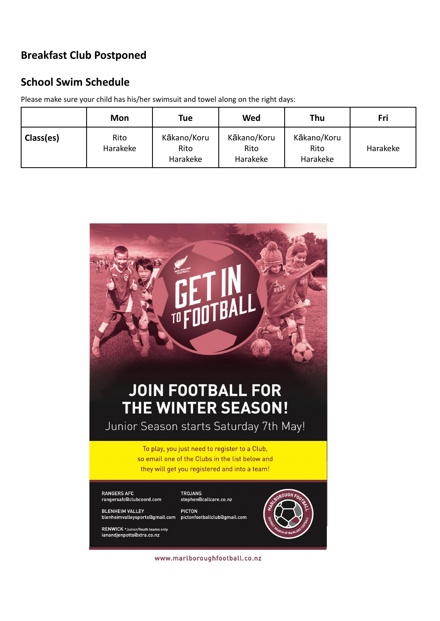## **Breakfast Club Postponed**

### **School Swim Schedule**

Please make sure your child has his/her swimsuit and towel along on the right days:

|           | Mon              | <b>Tue</b>                      | Wed                             | Thu                             | Fri      |
|-----------|------------------|---------------------------------|---------------------------------|---------------------------------|----------|
| Class(es) | Rito<br>Harakeke | Kākano/Koru<br>Rito<br>Harakeke | Kākano/Koru<br>Rito<br>Harakeke | Kākano/Koru<br>Rito<br>Harakeke | Harakeke |



www.marlboroughfootball.co.nz